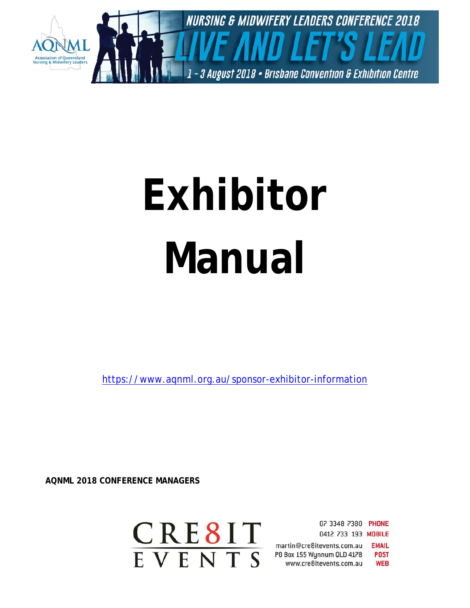

# **Exhibitor Manual**

https://www.aqnml.org.au/sponsor-exhibitor-information

**AQNML 2018 CONFERENCE MANAGERS** 

CRE8IT EVENTS

07 3348 7380 PHONE 0412 733 193 MOBILE martin@cre8itevents.com.au **EMAIL** P0 Box 155 Wynnum QLD 4178 **POST** www.cre8itevents.com.au **WEB**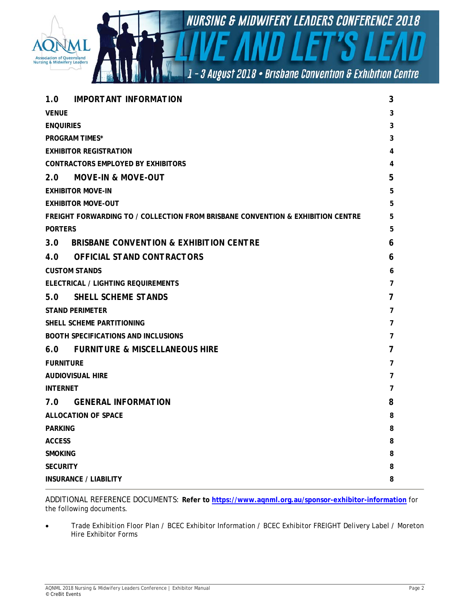

| <b>IMPORTANT INFORMATION</b><br>1.0                                             | 3              |
|---------------------------------------------------------------------------------|----------------|
| <b>VENUE</b>                                                                    | 3              |
| <b>ENQUIRIES</b>                                                                | 3              |
| <b>PROGRAM TIMES*</b>                                                           | 3              |
| <b>EXHIBITOR REGISTRATION</b>                                                   | 4              |
| <b>CONTRACTORS EMPLOYED BY EXHIBITORS</b>                                       | 4              |
| MOVE-IN & MOVE-OUT<br>2.0                                                       | 5              |
| <b>EXHIBITOR MOVE-IN</b>                                                        | 5              |
| <b>EXHIBITOR MOVE-OUT</b>                                                       | 5              |
| FREIGHT FORWARDING TO / COLLECTION FROM BRISBANE CONVENTION & EXHIBITION CENTRE | 5              |
| <b>PORTERS</b>                                                                  | 5              |
| <b>BRISBANE CONVENTION &amp; EXHIBITION CENTRE</b><br>3.0 <sub>2</sub>          | 6              |
| <b>OFFICIAL STAND CONTRACTORS</b><br>4.0                                        | 6              |
| <b>CUSTOM STANDS</b>                                                            | 6              |
| ELECTRICAL / LIGHTING REQUIREMENTS                                              | 7              |
| <b>SHELL SCHEME STANDS</b><br>5.0                                               | 7              |
| <b>STAND PERIMETER</b>                                                          |                |
| SHELL SCHEME PARTITIONING                                                       |                |
| <b>BOOTH SPECIFICATIONS AND INCLUSIONS</b>                                      | 7              |
| FURNITURE & MISCELLANEOUS HIRE<br>6.0                                           | 7              |
| <b>FURNITURE</b>                                                                | 7              |
| <b>AUDIOVISUAL HIRE</b>                                                         | 7              |
| <b>INTERNET</b>                                                                 | $\overline{7}$ |
| <b>GENERAL INFORMATION</b><br>7.0                                               | 8              |
| <b>ALLOCATION OF SPACE</b>                                                      | 8              |
| <b>PARKING</b>                                                                  | 8              |
| <b>ACCESS</b>                                                                   | 8              |
| <b>SMOKING</b>                                                                  | 8              |
| <b>SECURITY</b>                                                                 | 8              |
| <b>INSURANCE / LIABILITY</b>                                                    | 8              |

ADDITIONAL REFERENCE DOCUMENTS: **Refer to https://www.aqnml.org.au/sponsor-exhibitor-information** for the following documents.

 Trade Exhibition Floor Plan / BCEC Exhibitor Information / BCEC Exhibitor FREIGHT Delivery Label / Moreton Hire Exhibitor Forms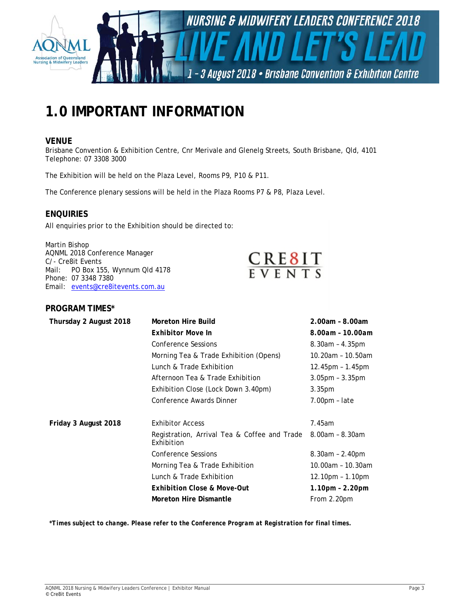

# **1.0 IMPORTANT INFORMATION**

# **VENUE**

Brisbane Convention & Exhibition Centre, Cnr Merivale and Glenelg Streets, South Brisbane, Qld, 4101 Telephone: 07 3308 3000

The Exhibition will be held on the Plaza Level, Rooms P9, P10 & P11.

The Conference plenary sessions will be held in the Plaza Rooms P7 & P8, Plaza Level.

# **ENQUIRIES**

All enquiries prior to the Exhibition should be directed to:

Martin Bishop AQNML 2018 Conference Manager C/- Cre8it Events<br>Mail: PO Box 15 PO Box 155, Wynnum Qld 4178 Phone: 07 3348 7380 Email: events@cre8itevents.com.au



## **PROGRAM TIMES\***

| Thursday 2 August 2018 | Moreton Hire Build                                         | 2.00am - 8.00am       |
|------------------------|------------------------------------------------------------|-----------------------|
|                        | <b>Exhibitor Move In</b>                                   | 8.00am - 10.00am      |
|                        | <b>Conference Sessions</b>                                 | $8.30$ am – $4.35$ pm |
|                        | Morning Tea & Trade Exhibition (Opens)                     | 10.20am - 10.50am     |
|                        | Lunch & Trade Exhibition                                   | $12.45$ pm – 1.45pm   |
|                        | Afternoon Tea & Trade Exhibition                           | $3.05$ pm – $3.35$ pm |
|                        | Exhibition Close (Lock Down 3.40pm)                        | 3.35 <sub>pm</sub>    |
|                        | Conference Awards Dinner                                   | $7.00pm$ - late       |
|                        |                                                            |                       |
| Friday 3 August 2018   | <b>Exhibitor Access</b>                                    | 7.45am                |
|                        | Registration, Arrival Tea & Coffee and Trade<br>Exhibition | $8.00$ am - $8.30$ am |
|                        | Conference Sessions                                        | $8.30am - 2.40pm$     |
|                        | Morning Tea & Trade Exhibition                             | 10.00am - 10.30am     |
|                        | Lunch & Trade Exhibition                                   | $12.10pm - 1.10pm$    |
|                        | <b>Exhibition Close &amp; Move-Out</b>                     | 1.10pm - 2.20pm       |
|                        | <b>Moreton Hire Dismantle</b>                              | From 2.20pm           |
|                        |                                                            |                       |

*\*Times subject to change. Please refer to the Conference Program at Registration for final times.*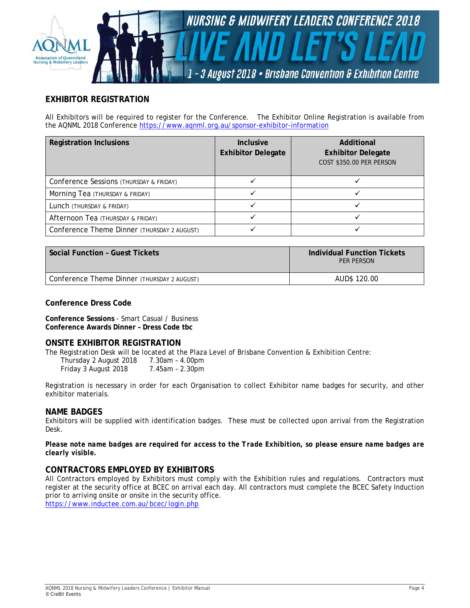

# **EXHIBITOR REGISTRATION**

All Exhibitors will be required to register for the Conference. The Exhibitor Online Registration is available from the AQNML 2018 Conference https://www.aqnml.org.au/sponsor-exhibitor-information

| <b>Registration Inclusions</b>              | <b>Inclusive</b><br><b>Exhibitor Delegate</b> | Additional<br><b>Exhibitor Delegate</b><br>COST \$350.00 PER PERSON |
|---------------------------------------------|-----------------------------------------------|---------------------------------------------------------------------|
| Conference Sessions (THURSDAY & FRIDAY)     |                                               |                                                                     |
| Morning Tea (THURSDAY & FRIDAY)             |                                               |                                                                     |
| Lunch (THURSDAY & FRIDAY)                   |                                               |                                                                     |
| Afternoon Tea (THURSDAY & FRIDAY)           |                                               |                                                                     |
| Conference Theme Dinner (THURSDAY 2 AUGUST) |                                               |                                                                     |

| <b>Social Function - Guest Tickets</b>      | Individual Function Tickets<br>PFR PFRSON |
|---------------------------------------------|-------------------------------------------|
| Conference Theme Dinner (THURSDAY 2 AUGUST) | AUD\$ 120.00                              |

### **Conference Dress Code**

**Conference Sessions** - Smart Casual / Business **Conference Awards Dinner – Dress Code tbc**

### **ONSITE EXHIBITOR REGISTRATION**

The Registration Desk will be located at the Plaza Level of Brisbane Convention & Exhibition Centre:

 Thursday 2 August 2018 7.30am – 4.00pm Friday 3 August 2018 7.45am – 2.30pm

Registration is necessary in order for each Organisation to collect Exhibitor name badges for security, and other exhibitor materials.

### **NAME BADGES**

Exhibitors will be supplied with identification badges. These must be collected upon arrival from the Registration Desk.

*Please note name badges are required for access to the Trade Exhibition, so please ensure name badges are clearly visible.*

### **CONTRACTORS EMPLOYED BY EXHIBITORS**

All Contractors employed by Exhibitors must comply with the Exhibition rules and regulations. Contractors must register at the security office at BCEC on arrival each day. All contractors must complete the BCEC Safety Induction prior to arriving onsite or onsite in the security office.

https://www.inductee.com.au/bcec/login.php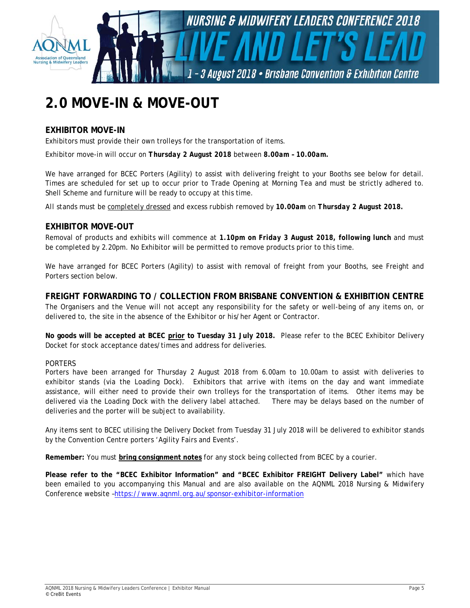

# **2.0 MOVE-IN & MOVE-OUT**

# **EXHIBITOR MOVE-IN**

Exhibitors must provide their own trolleys for the transportation of items.

Exhibitor move-in will occur on *Thursday 2 August 2018* between *8.00am – 10.00am.* 

We have arranged for BCEC Porters (Agility) to assist with delivering freight to your Booths see below for detail. Times are scheduled for set up to occur prior to Trade Opening at Morning Tea and must be strictly adhered to. Shell Scheme and furniture will be ready to occupy at this time.

*All stands must be completely dressed and excess rubbish removed by 10.00am on Thursday 2 August 2018.*

# **EXHIBITOR MOVE-OUT**

Removal of products and exhibits will commence at *1.10pm on Friday 3 August 2018, following lunch* and must be completed by 2.20pm. No Exhibitor will be permitted to remove products prior to this time.

We have arranged for BCEC Porters (Agility) to assist with removal of freight from your Booths, see Freight and Porters section below.

### **FREIGHT FORWARDING TO / COLLECTION FROM BRISBANE CONVENTION & EXHIBITION CENTRE**

The Organisers and the Venue will not accept any responsibility for the safety or well-being of any items on, or delivered to, the site in the absence of the Exhibitor or his/her Agent or Contractor.

**No goods will be accepted at BCEC prior to Tuesday 31 July 2018.** Please refer to the BCEC Exhibitor Delivery Docket for stock acceptance dates/times and address for deliveries.

### *PORTERS*

Porters have been arranged for Thursday 2 August 2018 from 6.00am to 10.00am to assist with deliveries to exhibitor stands (via the Loading Dock). Exhibitors that arrive with items on the day and want immediate assistance, will either need to provide their own trolleys for the transportation of items. Other items may be delivered via the Loading Dock with the delivery label attached. There may be delays based on the number of deliveries and the porter will be subject to availability.

Any items sent to BCEC utilising the Delivery Docket from Tuesday 31 July 2018 will be delivered to exhibitor stands by the Convention Centre porters 'Agility Fairs and Events'.

**Remember:** You must **bring consignment notes** for any stock being collected from BCEC by a courier.

**Please refer to the "BCEC Exhibitor Information" and "BCEC Exhibitor FREIGHT Delivery Label"** which have been emailed to you accompanying this Manual and are also available on the AQNML 2018 Nursing & Midwifery Conference website –https://www.aqnml.org.au/sponsor-exhibitor-information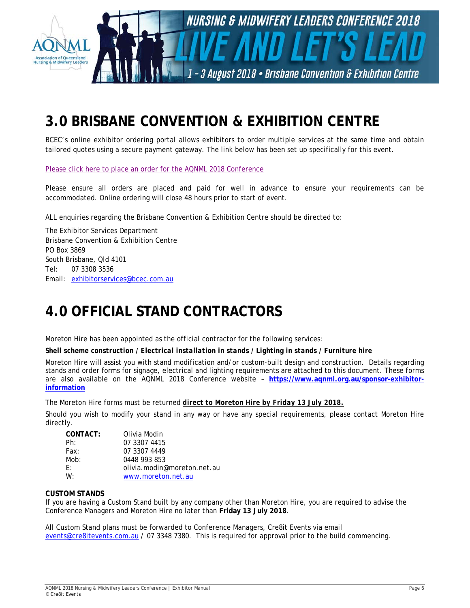

# **3.0 BRISBANE CONVENTION & EXHIBITION CENTRE**

BCEC's online exhibitor ordering portal allows exhibitors to order multiple services at the same time and obtain tailored quotes using a secure payment gateway. The link below has been set up specifically for this event.

Please click here to place an order for the AQNML 2018 Conference

Please ensure all orders are placed and paid for well in advance to ensure your requirements can be accommodated. Online ordering will close 48 hours prior to start of event.

ALL enquiries regarding the Brisbane Convention & Exhibition Centre should be directed to:

The Exhibitor Services Department Brisbane Convention & Exhibition Centre PO Box 3869 South Brisbane, Qld 4101 Tel: 07 3308 3536 Email: exhibitorservices@bcec.com.au

# **4.0 OFFICIAL STAND CONTRACTORS**

Moreton Hire has been appointed as the official contractor for the following services:

*Shell scheme construction / Electrical installation in stands / Lighting in stands / Furniture hire* 

Moreton Hire will assist you with stand modification and/or custom-built design and construction. Details regarding stands and order forms for signage, electrical and lighting requirements are attached to this document. These forms are also available on the AQNML 2018 Conference website – **https://www.aqnml.org.au/sponsor-exhibitorinformation** 

The Moreton Hire forms must be returned *direct to Moreton Hire by Friday 13 July 2018.* 

Should you wish to modify your stand in any way or have any special requirements, please contact Moreton Hire directly.

| CONTACT: | Olivia Modin                |
|----------|-----------------------------|
| Ph:      | 07 3307 4415                |
| Fax:     | 07 3307 4449                |
| Mob:     | 0448 993 853                |
| $F^+$    | olivia.modin@moreton.net.au |
| $W^+$    | www.moreton.net.au          |

### **CUSTOM STANDS**

If you are having a Custom Stand built by any company other than Moreton Hire, you are required to advise the Conference Managers and Moreton Hire no later than **Friday 13 July 2018**.

All Custom Stand plans must be forwarded to Conference Managers, Cre8it Events via email events@cre8itevents.com.au / 07 3348 7380. This is required for approval prior to the build commencing.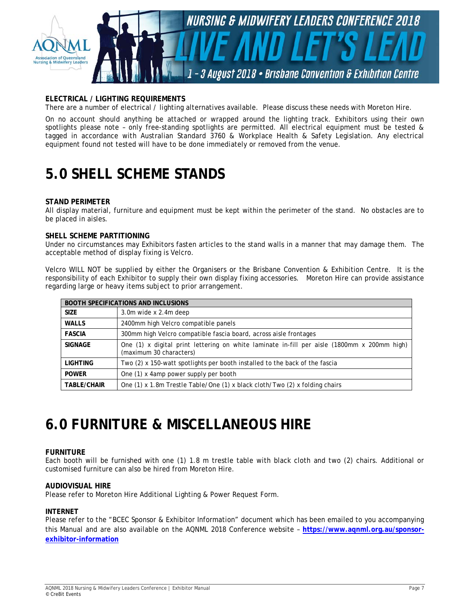

## **ELECTRICAL / LIGHTING REQUIREMENTS**

There are a number of electrical / lighting alternatives available. Please discuss these needs with Moreton Hire.

On no account should anything be attached or wrapped around the lighting track. Exhibitors using their own spotlights please note - only free-standing spotlights are permitted. All electrical equipment must be tested & tagged in accordance with Australian Standard 3760 & Workplace Health & Safety Legislation. Any electrical equipment found not tested will have to be done immediately or removed from the venue.

# **5.0 SHELL SCHEME STANDS**

#### **STAND PERIMETER**

All display material, furniture and equipment must be kept within the perimeter of the stand. No obstacles are to be placed in aisles.

#### **SHELL SCHEME PARTITIONING**

Under no circumstances may Exhibitors fasten articles to the stand walls in a manner that may damage them. The acceptable method of display fixing is Velcro.

Velcro WILL NOT be supplied by either the Organisers or the Brisbane Convention & Exhibition Centre. It is the responsibility of each Exhibitor to supply their own display fixing accessories. Moreton Hire can provide assistance regarding large or heavy items subject to prior arrangement.

| <b>BOOTH SPECIFICATIONS AND INCLUSIONS</b> |                                                                                                                        |  |
|--------------------------------------------|------------------------------------------------------------------------------------------------------------------------|--|
| <b>SIZE</b>                                | 3.0m wide x 2.4m deep                                                                                                  |  |
| <b>WALLS</b>                               | 2400mm high Velcro compatible panels                                                                                   |  |
| <b>FASCIA</b>                              | 300mm high Velcro compatible fascia board, across aisle frontages                                                      |  |
| <b>SIGNAGE</b>                             | One (1) x digital print lettering on white laminate in-fill per aisle (1800mm x 200mm high)<br>(maximum 30 characters) |  |
| <b>LIGHTING</b>                            | Two (2) x 150-watt spotlights per booth installed to the back of the fascia                                            |  |
| <b>POWER</b>                               | One (1) x 4amp power supply per booth                                                                                  |  |
| <b>TABLE/CHAIR</b>                         | One (1) x 1.8m Trestle Table/One (1) x black cloth/Two (2) x folding chairs                                            |  |

# **6.0 FURNITURE & MISCELLANEOUS HIRE**

### **FURNITURE**

Each booth will be furnished with one (1) 1.8 m trestle table with black cloth and two (2) chairs. Additional or customised furniture can also be hired from Moreton Hire.

#### **AUDIOVISUAL HIRE**

Please refer to Moreton Hire Additional Lighting & Power Request Form.

#### **INTERNET**

Please refer to the "BCEC Sponsor & Exhibitor Information" document which has been emailed to you accompanying this Manual and are also available on the AQNML 2018 Conference website – **https://www.aqnml.org.au/sponsorexhibitor-information**